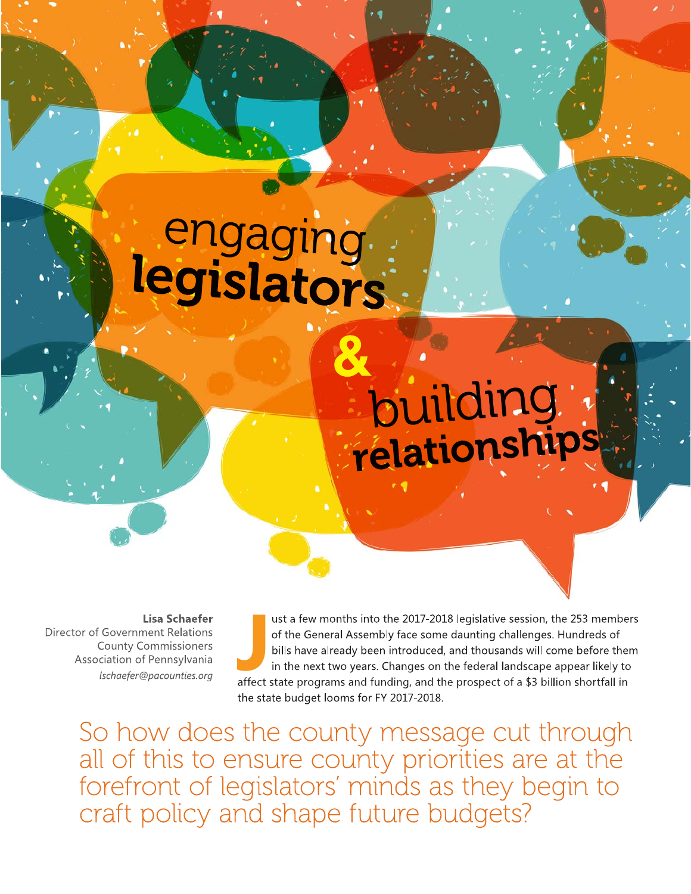# engaging<br>legislators

## building.

**Lisa Schaefer** Director of Government Relations **County Commissioners** Association of Pennsylvania lschaefer@pacounties.org

ust a few months into the 2017-2018 legislative session, the 253 members of the General Assembly face some daunting challenges. Hundreds of bills have already been introduced, and thousands will come before them in the next two years. Changes on the federal landscape appear likely to affect state programs and funding, and the prospect of a \$3 billion shortfall in the state budget looms for FY 2017-2018.

So how does the county message cut through all of this to ensure county priorities are at the forefront of legislators' minds as they begin to craft policy and shape future budgets?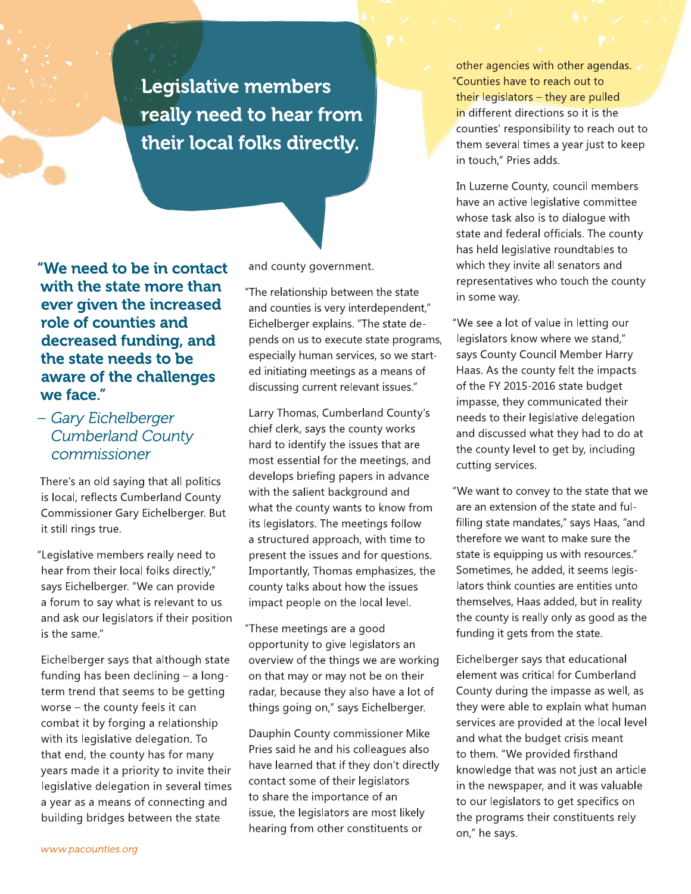**Legislative members** really need to hear from their local folks directly.

"We need to be in contact with the state more than ever given the increased role of counties and decreased funding, and the state needs to be aware of the challenges we face."

#### - Gary Eichelberger **Cumberland County** commissioner

There's an old saying that all politics is local, reflects Cumberland County Commissioner Gary Eichelberger. But it still rings true.

"Legislative members really need to hear from their local folks directly," says Eichelberger. "We can provide a forum to say what is relevant to us and ask our legislators if their position is the same."

Eichelberger says that although state funding has been declining - a longterm trend that seems to be getting worse - the county feels it can combat it by forging a relationship with its legislative delegation. To that end, the county has for many years made it a priority to invite their legislative delegation in several times a year as a means of connecting and building bridges between the state

and county government.

"The relationship between the state and counties is very interdependent," Eichelberger explains. "The state depends on us to execute state programs, especially human services, so we started initiating meetings as a means of discussing current relevant issues."

Larry Thomas, Cumberland County's chief clerk, says the county works hard to identify the issues that are most essential for the meetings, and develops briefing papers in advance with the salient background and what the county wants to know from its legislators. The meetings follow a structured approach, with time to present the issues and for questions. Importantly, Thomas emphasizes, the county talks about how the issues impact people on the local level.

"These meetings are a good opportunity to give legislators an overview of the things we are working on that may or may not be on their radar, because they also have a lot of things going on," says Eichelberger.

Dauphin County commissioner Mike Pries said he and his colleagues also have learned that if they don't directly contact some of their legislators to share the importance of an issue, the legislators are most likely hearing from other constituents or

other agencies with other agendas. "Counties have to reach out to their legislators - they are pulled in different directions so it is the counties' responsibility to reach out to them several times a year just to keep in touch," Pries adds.

In Luzerne County, council members have an active legislative committee whose task also is to dialogue with state and federal officials. The county has held legislative roundtables to which they invite all senators and representatives who touch the county in some way.

"We see a lot of value in letting our legislators know where we stand," says County Council Member Harry Haas. As the county felt the impacts of the FY 2015-2016 state budget impasse, they communicated their needs to their legislative delegation and discussed what they had to do at the county level to get by, including cutting services.

"We want to convey to the state that we are an extension of the state and fulfilling state mandates," says Haas, "and therefore we want to make sure the state is equipping us with resources." Sometimes, he added, it seems legislators think counties are entities unto themselves, Haas added, but in reality the county is really only as good as the funding it gets from the state.

Eichelberger says that educational element was critical for Cumberland County during the impasse as well, as they were able to explain what human services are provided at the local level and what the budget crisis meant to them. "We provided firsthand knowledge that was not just an article in the newspaper, and it was valuable to our legislators to get specifics on the programs their constituents rely on," he says.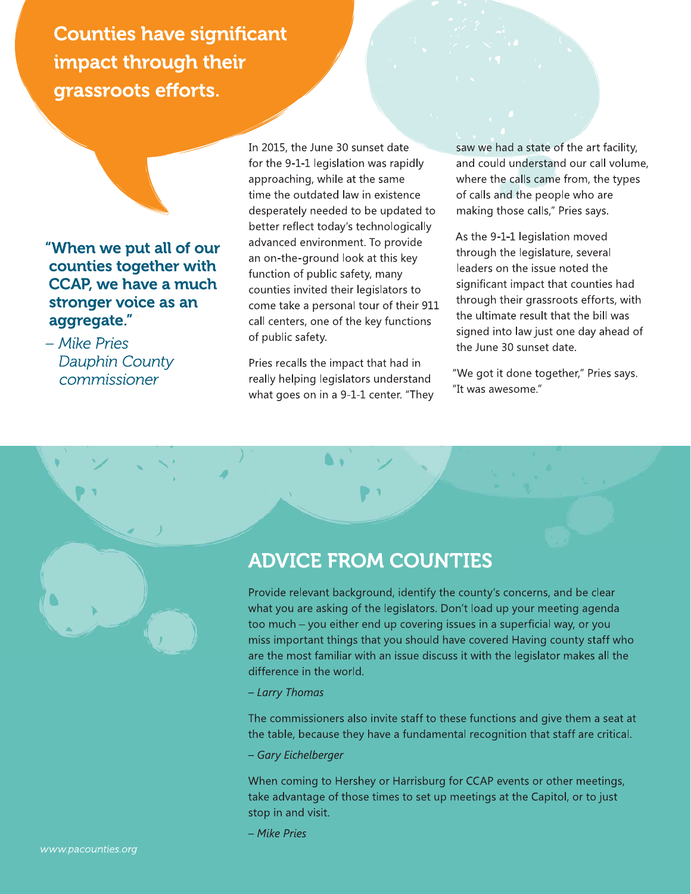Counties have significant impact through their grassroots enorts.

When we put all of our counties together with **CCAP, we have a much** stronger voice as an aggregate. "When we put all of our<br>counties together with<br>CCAP, we have a much<br>stronger voice as an<br>aggregate."<br>- Mike Pries<br>Dauphin County<br>commissioner

mike Pries<br>Dauphin County commissioner

In 2015, the June 30 sunset date for the 9-1-1 legislation was rapidly approaching, while at the same time the outdated law in existence desperately needed to be updated to better reflect today's technologically advanced environment. To provide an on-the-ground look at this key function of public safety, many counties invited their legislators to come take a personal tour of their 911 call centers, one of the key functions of public safety.

Pries recalls the impact that had in really helping legislators understand what goes on in a 9-1-1 center. "They saw we had a state of the art facility, and could understand our call volume, where the calls came from, the types of calls and the people who are making those calls," Pries says.

As the 9-1-1 legislation moved through the legislature, several leaders on the issue noted the significant impact that counties had through their grassroots efforts, with the ultimate result that the bill was signed into law just one day ahead of the June 30 sunset date.

"We got it done together," Pries says. "It was awesome."

### **ADVICE FROM COUNTIES**

Provide relevant background, identify the county's concerns, and be clear what you are asking of the legislators. Don't load up your meeting agenda too much – you either end up covering issues in a superficial way, or you miss important things that you should have covered Having county staff who are the most familiar with an issue discuss it with the legislator makes all the difference in the world.

#### - Larry Thomas

The commissioners also invite staff to these functions and give them a seat at the table, because they have a fundamental recognition that staff are critical.

#### - Gary Eichelberger

When coming to Hershey or Harrisburg for CCAP events or other meetings, take advantage of those times to set up meetings at the Capitol, or to just stop in and visit.

- Mike Pries